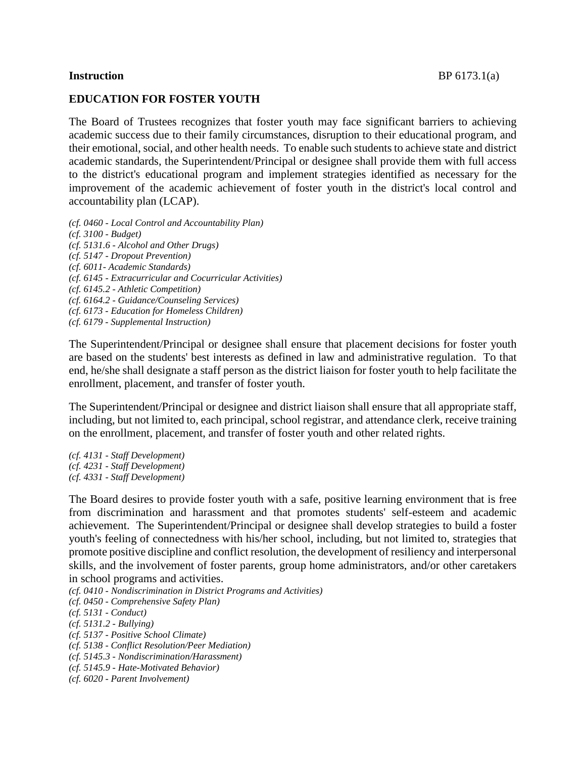### **EDUCATION FOR FOSTER YOUTH**

The Board of Trustees recognizes that foster youth may face significant barriers to achieving academic success due to their family circumstances, disruption to their educational program, and their emotional, social, and other health needs. To enable such students to achieve state and district academic standards, the Superintendent/Principal or designee shall provide them with full access to the district's educational program and implement strategies identified as necessary for the improvement of the academic achievement of foster youth in the district's local control and accountability plan (LCAP).

*(cf. 0460 - Local Control and Accountability Plan) (cf. 3100 - Budget) (cf. 5131.6 - Alcohol and Other Drugs) (cf. 5147 - Dropout Prevention) (cf. 6011- Academic Standards) (cf. 6145 - Extracurricular and Cocurricular Activities) (cf. 6145.2 - Athletic Competition) (cf. 6164.2 - Guidance/Counseling Services) (cf. 6173 - Education for Homeless Children) (cf. 6179 - Supplemental Instruction)*

The Superintendent/Principal or designee shall ensure that placement decisions for foster youth are based on the students' best interests as defined in law and administrative regulation. To that end, he/she shall designate a staff person as the district liaison for foster youth to help facilitate the enrollment, placement, and transfer of foster youth.

The Superintendent/Principal or designee and district liaison shall ensure that all appropriate staff, including, but not limited to, each principal, school registrar, and attendance clerk, receive training on the enrollment, placement, and transfer of foster youth and other related rights.

*(cf. 4131 - Staff Development) (cf. 4231 - Staff Development) (cf. 4331 - Staff Development)*

The Board desires to provide foster youth with a safe, positive learning environment that is free from discrimination and harassment and that promotes students' self-esteem and academic achievement. The Superintendent/Principal or designee shall develop strategies to build a foster youth's feeling of connectedness with his/her school, including, but not limited to, strategies that promote positive discipline and conflict resolution, the development of resiliency and interpersonal skills, and the involvement of foster parents, group home administrators, and/or other caretakers in school programs and activities.

*(cf. 0410 - Nondiscrimination in District Programs and Activities) (cf. 0450 - Comprehensive Safety Plan) (cf. 5131 - Conduct) (cf. 5131.2 - Bullying) (cf. 5137 - Positive School Climate) (cf. 5138 - Conflict Resolution/Peer Mediation) (cf. 5145.3 - Nondiscrimination/Harassment) (cf. 5145.9 - Hate-Motivated Behavior) (cf. 6020 - Parent Involvement)*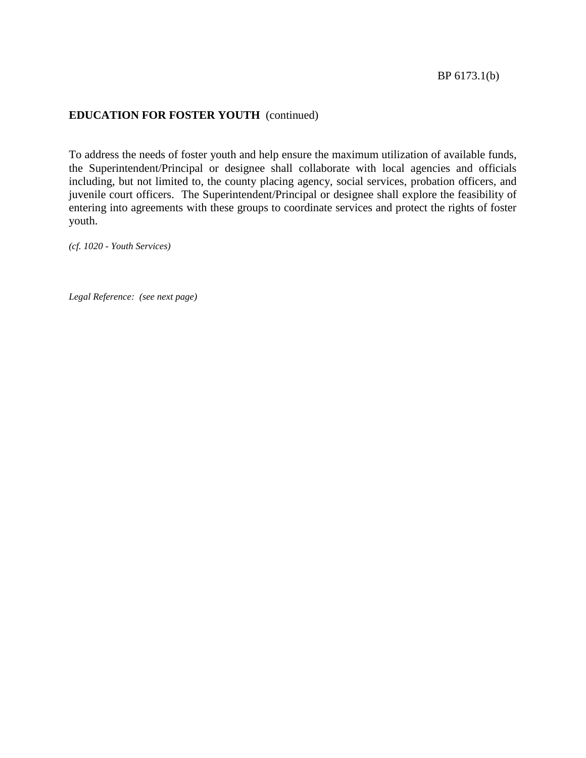To address the needs of foster youth and help ensure the maximum utilization of available funds, the Superintendent/Principal or designee shall collaborate with local agencies and officials including, but not limited to, the county placing agency, social services, probation officers, and juvenile court officers. The Superintendent/Principal or designee shall explore the feasibility of entering into agreements with these groups to coordinate services and protect the rights of foster youth.

*(cf. 1020 - Youth Services)*

*Legal Reference: (see next page)*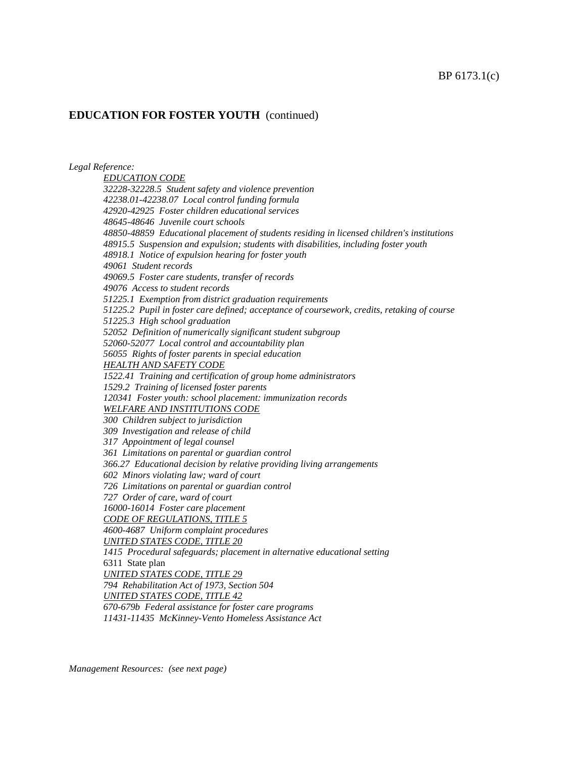*Legal Reference:*

*EDUCATION CODE 32228-32228.5 Student safety and violence prevention 42238.01-42238.07 Local control funding formula 42920-42925 Foster children educational services 48645-48646 Juvenile court schools 48850-48859 Educational placement of students residing in licensed children's institutions 48915.5 Suspension and expulsion; students with disabilities, including foster youth 48918.1 Notice of expulsion hearing for foster youth 49061 Student records 49069.5 Foster care students, transfer of records 49076 Access to student records 51225.1 Exemption from district graduation requirements 51225.2 Pupil in foster care defined; acceptance of coursework, credits, retaking of course 51225.3 High school graduation 52052 Definition of numerically significant student subgroup 52060-52077 Local control and accountability plan 56055 Rights of foster parents in special education HEALTH AND SAFETY CODE 1522.41 Training and certification of group home administrators 1529.2 Training of licensed foster parents 120341 Foster youth: school placement: immunization records WELFARE AND INSTITUTIONS CODE 300 Children subject to jurisdiction 309 Investigation and release of child 317 Appointment of legal counsel 361 Limitations on parental or guardian control 366.27 Educational decision by relative providing living arrangements 602 Minors violating law; ward of court 726 Limitations on parental or guardian control 727 Order of care, ward of court 16000-16014 Foster care placement CODE OF REGULATIONS, TITLE 5 4600-4687 Uniform complaint procedures UNITED STATES CODE, TITLE 20 1415 Procedural safeguards; placement in alternative educational setting* 6311 State plan *UNITED STATES CODE, TITLE 29 794 Rehabilitation Act of 1973, Section 504 UNITED STATES CODE, TITLE 42 670-679b Federal assistance for foster care programs 11431-11435 McKinney-Vento Homeless Assistance Act*

*Management Resources: (see next page)*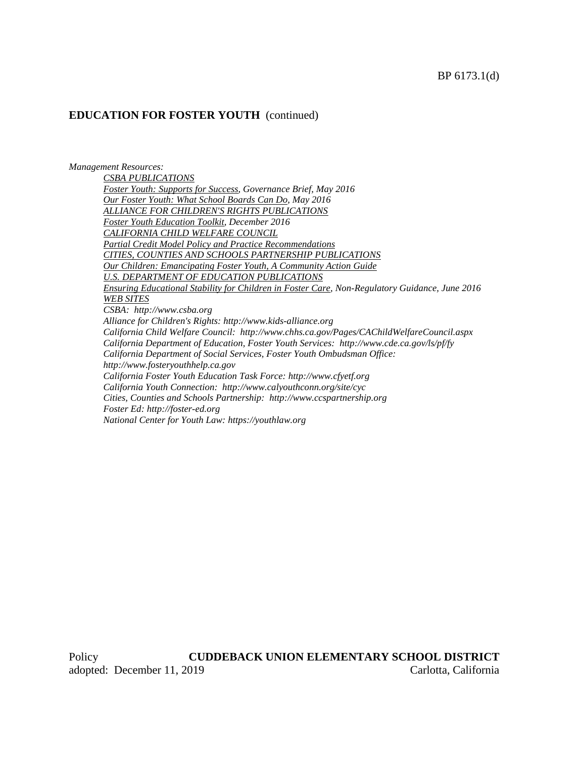*Management Resources:*

*CSBA PUBLICATIONS Foster Youth: Supports for Success, Governance Brief, May 2016 Our Foster Youth: What School Boards Can Do, May 2016 ALLIANCE FOR CHILDREN'S RIGHTS PUBLICATIONS Foster Youth Education Toolkit, December 2016 CALIFORNIA CHILD WELFARE COUNCIL Partial Credit Model Policy and Practice Recommendations CITIES, COUNTIES AND SCHOOLS PARTNERSHIP PUBLICATIONS Our Children: Emancipating Foster Youth, A Community Action Guide U.S. DEPARTMENT OF EDUCATION PUBLICATIONS Ensuring Educational Stability for Children in Foster Care, Non-Regulatory Guidance, June 2016 WEB SITES CSBA: [http://www.csba.org](http://www.csba.org/) Alliance for Children's Rights: http://www.kids-alliance.org California Child Welfare Council: http://www.chhs.ca.gov/Pages/CAChildWelfareCouncil.aspx California Department of Education, Foster Youth Services: http://www.cde.ca.gov/ls/pf/fy California Department of Social Services, Foster Youth Ombudsman Office: [http://www.fosteryouthhelp.ca.gov](http://www.fosteryouthhelp.ca.gov/) California Foster Youth Education Task Force: http://www.cfyetf.org California Youth Connection: http://www.calyouthconn.org/site/cyc Cities, Counties and Schools Partnership: [http://www.ccspartnership.org](http://www.ccspartnership.org/) Foster Ed: http://foster-ed.org National Center for Youth Law: https://youthlaw.org*

Policy **CUDDEBACK UNION ELEMENTARY SCHOOL DISTRICT** adopted: December 11, 2019 Carlotta, California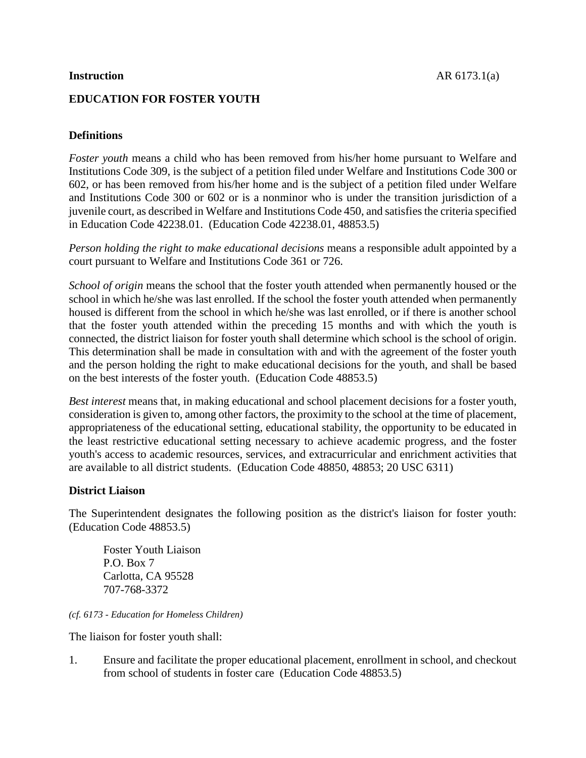## **EDUCATION FOR FOSTER YOUTH**

# **Definitions**

*Foster youth* means a child who has been removed from his/her home pursuant to Welfare and Institutions Code 309, is the subject of a petition filed under Welfare and Institutions Code 300 or 602, or has been removed from his/her home and is the subject of a petition filed under Welfare and Institutions Code 300 or 602 or is a nonminor who is under the transition jurisdiction of a juvenile court, as described in Welfare and Institutions Code 450, and satisfies the criteria specified in Education Code 42238.01. (Education Code 42238.01, 48853.5)

*Person holding the right to make educational decisions* means a responsible adult appointed by a court pursuant to Welfare and Institutions Code 361 or 726.

*School of origin* means the school that the foster youth attended when permanently housed or the school in which he/she was last enrolled. If the school the foster youth attended when permanently housed is different from the school in which he/she was last enrolled, or if there is another school that the foster youth attended within the preceding 15 months and with which the youth is connected, the district liaison for foster youth shall determine which school is the school of origin. This determination shall be made in consultation with and with the agreement of the foster youth and the person holding the right to make educational decisions for the youth, and shall be based on the best interests of the foster youth. (Education Code 48853.5)

*Best interest* means that, in making educational and school placement decisions for a foster youth, consideration is given to, among other factors, the proximity to the school at the time of placement, appropriateness of the educational setting, educational stability, the opportunity to be educated in the least restrictive educational setting necessary to achieve academic progress, and the foster youth's access to academic resources, services, and extracurricular and enrichment activities that are available to all district students. (Education Code 48850, 48853; 20 USC 6311)

## **District Liaison**

The Superintendent designates the following position as the district's liaison for foster youth: (Education Code 48853.5)

Foster Youth Liaison P.O. Box 7 Carlotta, CA 95528 707-768-3372

*(cf. 6173 - Education for Homeless Children)*

The liaison for foster youth shall:

1. Ensure and facilitate the proper educational placement, enrollment in school, and checkout from school of students in foster care (Education Code 48853.5)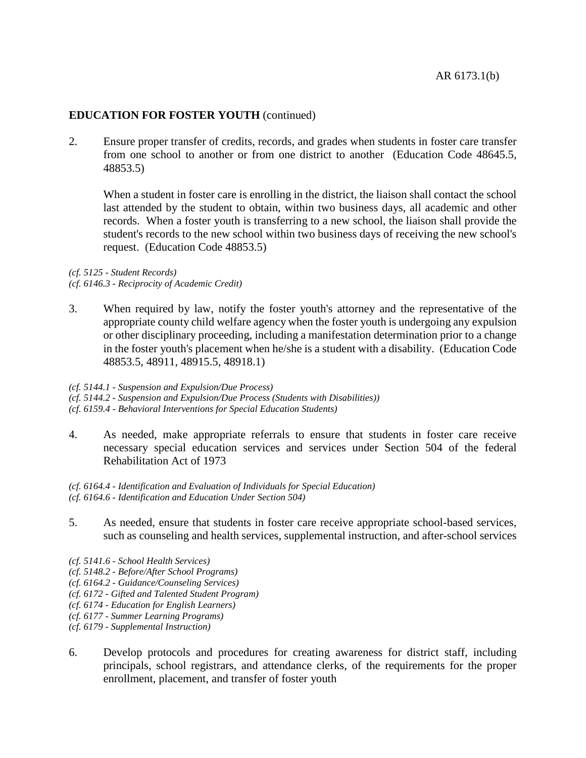2. Ensure proper transfer of credits, records, and grades when students in foster care transfer from one school to another or from one district to another (Education Code 48645.5, 48853.5)

When a student in foster care is enrolling in the district, the liaison shall contact the school last attended by the student to obtain, within two business days, all academic and other records. When a foster youth is transferring to a new school, the liaison shall provide the student's records to the new school within two business days of receiving the new school's request. (Education Code 48853.5)

*(cf. 5125 - Student Records) (cf. 6146.3 - Reciprocity of Academic Credit)*

3. When required by law, notify the foster youth's attorney and the representative of the appropriate county child welfare agency when the foster youth is undergoing any expulsion or other disciplinary proceeding, including a manifestation determination prior to a change in the foster youth's placement when he/she is a student with a disability. (Education Code 48853.5, 48911, 48915.5, 48918.1)

#### *(cf. 5144.1 - Suspension and Expulsion/Due Process)*

*(cf. 5144.2 - Suspension and Expulsion/Due Process (Students with Disabilities))*

*(cf. 6159.4 - Behavioral Interventions for Special Education Students)*

- 4. As needed, make appropriate referrals to ensure that students in foster care receive necessary special education services and services under Section 504 of the federal Rehabilitation Act of 1973
- *(cf. 6164.4 - Identification and Evaluation of Individuals for Special Education) (cf. 6164.6 - Identification and Education Under Section 504)*
- 5. As needed, ensure that students in foster care receive appropriate school-based services, such as counseling and health services, supplemental instruction, and after-school services
- *(cf. 5141.6 - School Health Services)*
- *(cf. 5148.2 - Before/After School Programs)*
- *(cf. 6164.2 - Guidance/Counseling Services)*
- *(cf. 6172 - Gifted and Talented Student Program)*
- *(cf. 6174 - Education for English Learners)*
- *(cf. 6177 - Summer Learning Programs)*
- *(cf. 6179 - Supplemental Instruction)*
- 6. Develop protocols and procedures for creating awareness for district staff, including principals, school registrars, and attendance clerks, of the requirements for the proper enrollment, placement, and transfer of foster youth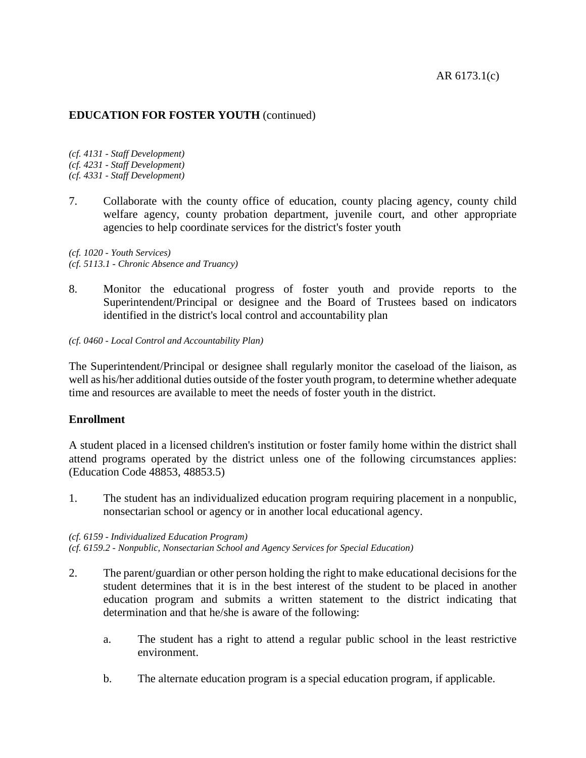*(cf. 4131 - Staff Development) (cf. 4231 - Staff Development) (cf. 4331 - Staff Development)*

7. Collaborate with the county office of education, county placing agency, county child welfare agency, county probation department, juvenile court, and other appropriate agencies to help coordinate services for the district's foster youth

*(cf. 1020 - Youth Services) (cf. 5113.1 - Chronic Absence and Truancy)*

8. Monitor the educational progress of foster youth and provide reports to the Superintendent/Principal or designee and the Board of Trustees based on indicators identified in the district's local control and accountability plan

*(cf. 0460 - Local Control and Accountability Plan)*

The Superintendent/Principal or designee shall regularly monitor the caseload of the liaison, as well as his/her additional duties outside of the foster youth program, to determine whether adequate time and resources are available to meet the needs of foster youth in the district.

## **Enrollment**

A student placed in a licensed children's institution or foster family home within the district shall attend programs operated by the district unless one of the following circumstances applies: (Education Code 48853, 48853.5)

1. The student has an individualized education program requiring placement in a nonpublic, nonsectarian school or agency or in another local educational agency.

#### *(cf. 6159 - Individualized Education Program)*

*(cf. 6159.2 - Nonpublic, Nonsectarian School and Agency Services for Special Education)*

- 2. The parent/guardian or other person holding the right to make educational decisions for the student determines that it is in the best interest of the student to be placed in another education program and submits a written statement to the district indicating that determination and that he/she is aware of the following:
	- a. The student has a right to attend a regular public school in the least restrictive environment.
	- b. The alternate education program is a special education program, if applicable.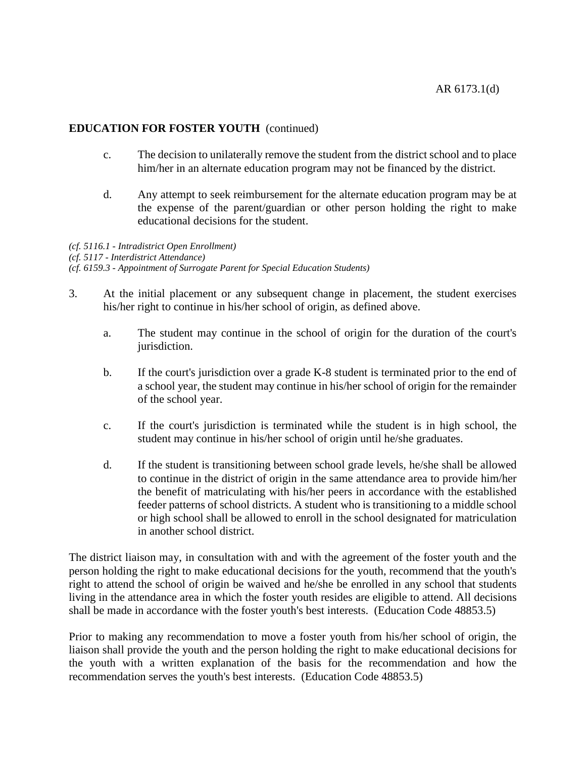- c. The decision to unilaterally remove the student from the district school and to place him/her in an alternate education program may not be financed by the district.
- d. Any attempt to seek reimbursement for the alternate education program may be at the expense of the parent/guardian or other person holding the right to make educational decisions for the student.

*(cf. 5116.1 - Intradistrict Open Enrollment) (cf. 5117 - Interdistrict Attendance) (cf. 6159.3 - Appointment of Surrogate Parent for Special Education Students)*

- 3. At the initial placement or any subsequent change in placement, the student exercises his/her right to continue in his/her school of origin, as defined above.
	- a. The student may continue in the school of origin for the duration of the court's jurisdiction.
	- b. If the court's jurisdiction over a grade K-8 student is terminated prior to the end of a school year, the student may continue in his/her school of origin for the remainder of the school year.
	- c. If the court's jurisdiction is terminated while the student is in high school, the student may continue in his/her school of origin until he/she graduates.
	- d. If the student is transitioning between school grade levels, he/she shall be allowed to continue in the district of origin in the same attendance area to provide him/her the benefit of matriculating with his/her peers in accordance with the established feeder patterns of school districts. A student who is transitioning to a middle school or high school shall be allowed to enroll in the school designated for matriculation in another school district.

The district liaison may, in consultation with and with the agreement of the foster youth and the person holding the right to make educational decisions for the youth, recommend that the youth's right to attend the school of origin be waived and he/she be enrolled in any school that students living in the attendance area in which the foster youth resides are eligible to attend. All decisions shall be made in accordance with the foster youth's best interests. (Education Code 48853.5)

Prior to making any recommendation to move a foster youth from his/her school of origin, the liaison shall provide the youth and the person holding the right to make educational decisions for the youth with a written explanation of the basis for the recommendation and how the recommendation serves the youth's best interests. (Education Code 48853.5)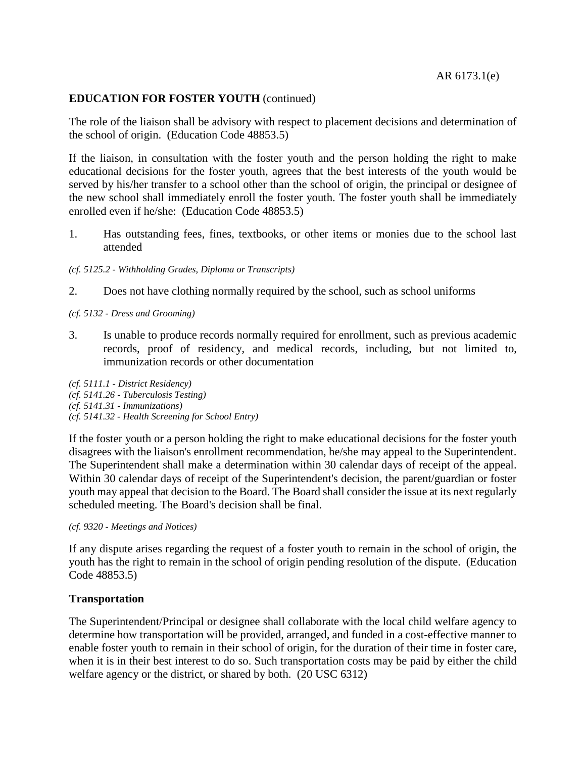#### AR 6173.1(e)

## **EDUCATION FOR FOSTER YOUTH** (continued)

The role of the liaison shall be advisory with respect to placement decisions and determination of the school of origin. (Education Code 48853.5)

If the liaison, in consultation with the foster youth and the person holding the right to make educational decisions for the foster youth, agrees that the best interests of the youth would be served by his/her transfer to a school other than the school of origin, the principal or designee of the new school shall immediately enroll the foster youth. The foster youth shall be immediately enrolled even if he/she: (Education Code 48853.5)

1. Has outstanding fees, fines, textbooks, or other items or monies due to the school last attended

*(cf. 5125.2 - Withholding Grades, Diploma or Transcripts)*

2. Does not have clothing normally required by the school, such as school uniforms

*(cf. 5132 - Dress and Grooming)*

3. Is unable to produce records normally required for enrollment, such as previous academic records, proof of residency, and medical records, including, but not limited to, immunization records or other documentation

*(cf. 5111.1 - District Residency) (cf. 5141.26 - Tuberculosis Testing) (cf. 5141.31 - Immunizations) (cf. 5141.32 - Health Screening for School Entry)*

If the foster youth or a person holding the right to make educational decisions for the foster youth disagrees with the liaison's enrollment recommendation, he/she may appeal to the Superintendent. The Superintendent shall make a determination within 30 calendar days of receipt of the appeal. Within 30 calendar days of receipt of the Superintendent's decision, the parent/guardian or foster youth may appeal that decision to the Board. The Board shall consider the issue at its next regularly scheduled meeting. The Board's decision shall be final.

*(cf. 9320 - Meetings and Notices)*

If any dispute arises regarding the request of a foster youth to remain in the school of origin, the youth has the right to remain in the school of origin pending resolution of the dispute. (Education Code 48853.5)

#### **Transportation**

The Superintendent/Principal or designee shall collaborate with the local child welfare agency to determine how transportation will be provided, arranged, and funded in a cost-effective manner to enable foster youth to remain in their school of origin, for the duration of their time in foster care, when it is in their best interest to do so. Such transportation costs may be paid by either the child welfare agency or the district, or shared by both. (20 USC 6312)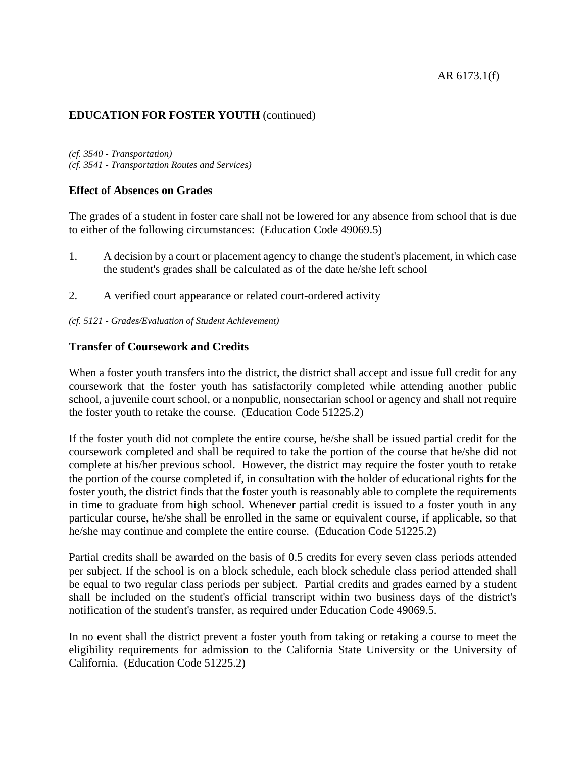## AR 6173.1(f)

## **EDUCATION FOR FOSTER YOUTH** (continued)

*(cf. 3540 - Transportation) (cf. 3541 - Transportation Routes and Services)*

#### **Effect of Absences on Grades**

The grades of a student in foster care shall not be lowered for any absence from school that is due to either of the following circumstances: (Education Code 49069.5)

- 1. A decision by a court or placement agency to change the student's placement, in which case the student's grades shall be calculated as of the date he/she left school
- 2. A verified court appearance or related court-ordered activity
- *(cf. 5121 - Grades/Evaluation of Student Achievement)*

### **Transfer of Coursework and Credits**

When a foster youth transfers into the district, the district shall accept and issue full credit for any coursework that the foster youth has satisfactorily completed while attending another public school, a juvenile court school, or a nonpublic, nonsectarian school or agency and shall not require the foster youth to retake the course. (Education Code 51225.2)

If the foster youth did not complete the entire course, he/she shall be issued partial credit for the coursework completed and shall be required to take the portion of the course that he/she did not complete at his/her previous school. However, the district may require the foster youth to retake the portion of the course completed if, in consultation with the holder of educational rights for the foster youth, the district finds that the foster youth is reasonably able to complete the requirements in time to graduate from high school. Whenever partial credit is issued to a foster youth in any particular course, he/she shall be enrolled in the same or equivalent course, if applicable, so that he/she may continue and complete the entire course. (Education Code 51225.2)

Partial credits shall be awarded on the basis of 0.5 credits for every seven class periods attended per subject. If the school is on a block schedule, each block schedule class period attended shall be equal to two regular class periods per subject. Partial credits and grades earned by a student shall be included on the student's official transcript within two business days of the district's notification of the student's transfer, as required under Education Code 49069.5.

In no event shall the district prevent a foster youth from taking or retaking a course to meet the eligibility requirements for admission to the California State University or the University of California. (Education Code 51225.2)